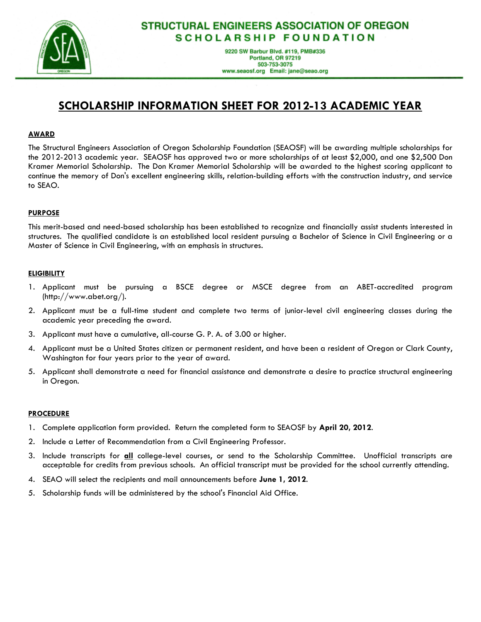

## **STRUCTURAL ENGINEERS ASSOCIATION OF OREGON SCHOLARSHIP FOUNDATION**

9220 SW Barbur Blvd. #119, PMB#336 Portland, OR 97219 503-753-3075 www.seaosf.org Email: jane@seao.org

## **SCHOLARSHIP INFORMATION SHEET FOR 201213 ACADEMIC YEAR**

### **AWARD**

The Structural Engineers Association of Oregon Scholarship Foundation (SEAOSF) will be awarding multiple scholarships for the 2012 2013 academic year. SEAOSF has approved two or more scholarships of at least \$2,000, and one \$2,500 Don Kramer Memorial Scholarship. The Don Kramer Memorial Scholarship will be awarded to the highest scoring applicant to continue the memory of Don's excellent engineering skills, relation building efforts with the construction industry, and service to SEAO.

#### **PURPOSE**

This merit based and need based scholarship has been established to recognize and financially assist students interested in structures. The qualified candidate is an established local resident pursuing a Bachelor of Science in Civil Engineering or a Master of Science in Civil Engineering, with an emphasis in structures.

#### **ELIGIBILITY**

- 1. Applicant must be pursuing a BSCE degree or MSCE degree from an ABET accredited program (http://www.abet.org/).
- 2. Applicant must be a full time student and complete two terms of junior level civil engineering classes during the academic year preceding the award.
- 3. Applicant must have a cumulative, all course G. P. A. of 3.00 or higher.
- 4. Applicant must be a United States citizen or permanent resident, and have been a resident of Oregon or Clark County, Washington for four years prior to the year of award.
- 5. Applicant shall demonstrate a need for financial assistance and demonstrate a desire to practice structural engineering in Oregon.

#### **PROCEDURE**

- 1. Complete application form provided. Return the completed form to SEAOSF by **April 20, 2012**.
- 2. Include a Letter of Recommendation from a Civil Engineering Professor.
- 3. Include transcripts for **all** college level courses, or send to the Scholarship Committee. Unofficial transcripts are acceptable for credits from previous schools. An official transcript must be provided for the school currently attending.
- 4. SEAO will select the recipients and mail announcements before **June 1, 2012**.
- 5. Scholarship funds will be administered by the school's Financial Aid Office.